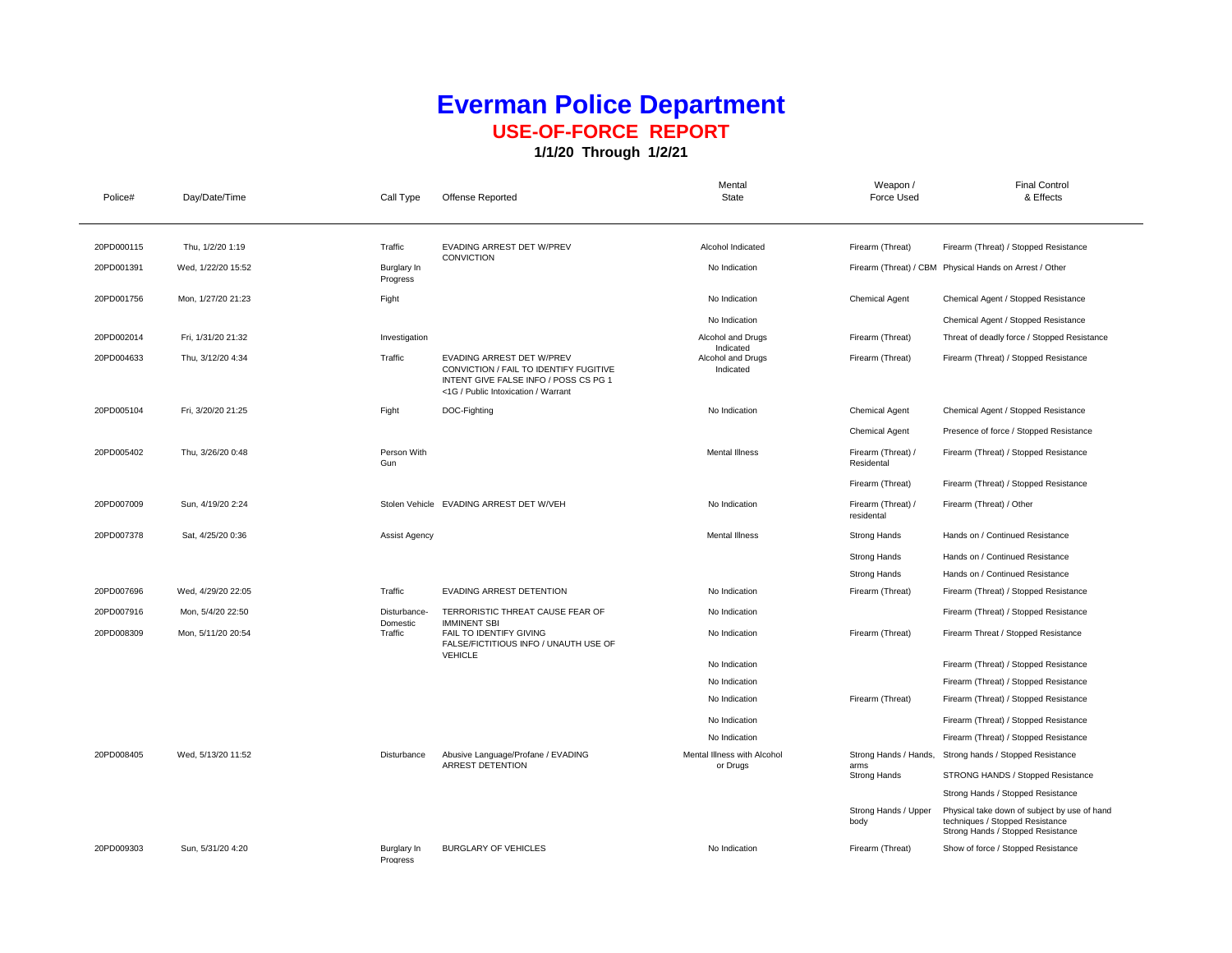## **Everman Police Department USE-OF-FORCE REPORT**

**1/1/20 Through 1/2/21**

| Police#    | Day/Date/Time      | Call Type               | Offense Reported                                                                                                                                    | Mental<br>State                | Weapon /<br>Force Used           | <b>Final Control</b><br>& Effects                                                                                    |
|------------|--------------------|-------------------------|-----------------------------------------------------------------------------------------------------------------------------------------------------|--------------------------------|----------------------------------|----------------------------------------------------------------------------------------------------------------------|
| 20PD000115 | Thu, 1/2/20 1:19   | Traffic                 | EVADING ARREST DET W/PREV<br>CONVICTION                                                                                                             | Alcohol Indicated              | Firearm (Threat)                 | Firearm (Threat) / Stopped Resistance                                                                                |
| 20PD001391 | Wed, 1/22/20 15:52 | Burglary In<br>Progress |                                                                                                                                                     | No Indication                  |                                  | Firearm (Threat) / CBM Physical Hands on Arrest / Other                                                              |
| 20PD001756 | Mon, 1/27/20 21:23 | Fight                   |                                                                                                                                                     | No Indication                  | <b>Chemical Agent</b>            | Chemical Agent / Stopped Resistance                                                                                  |
|            |                    |                         |                                                                                                                                                     | No Indication                  |                                  | Chemical Agent / Stopped Resistance                                                                                  |
| 20PD002014 | Fri, 1/31/20 21:32 | Investigation           |                                                                                                                                                     | Alcohol and Drugs<br>Indicated | Firearm (Threat)                 | Threat of deadly force / Stopped Resistance                                                                          |
| 20PD004633 | Thu, 3/12/20 4:34  | Traffic                 | EVADING ARREST DET W/PREV<br>CONVICTION / FAIL TO IDENTIFY FUGITIVE<br>INTENT GIVE FALSE INFO / POSS CS PG 1<br><1G / Public Intoxication / Warrant | Alcohol and Drugs<br>Indicated | Firearm (Threat)                 | Firearm (Threat) / Stopped Resistance                                                                                |
| 20PD005104 | Fri, 3/20/20 21:25 | Fight                   | DOC-Fighting                                                                                                                                        | No Indication                  | <b>Chemical Agent</b>            | Chemical Agent / Stopped Resistance                                                                                  |
|            |                    |                         |                                                                                                                                                     |                                | <b>Chemical Agent</b>            | Presence of force / Stopped Resistance                                                                               |
| 20PD005402 | Thu, 3/26/20 0:48  | Person With<br>Gun      |                                                                                                                                                     | <b>Mental Illness</b>          | Firearm (Threat) /<br>Residental | Firearm (Threat) / Stopped Resistance                                                                                |
|            |                    |                         |                                                                                                                                                     |                                | Firearm (Threat)                 | Firearm (Threat) / Stopped Resistance                                                                                |
| 20PD007009 | Sun, 4/19/20 2:24  |                         | Stolen Vehicle EVADING ARREST DET W/VEH                                                                                                             | No Indication                  | Firearm (Threat) /<br>residental | Firearm (Threat) / Other                                                                                             |
| 20PD007378 | Sat, 4/25/20 0:36  | Assist Agency           |                                                                                                                                                     | <b>Mental Illness</b>          | <b>Strong Hands</b>              | Hands on / Continued Resistance                                                                                      |
|            |                    |                         |                                                                                                                                                     |                                | <b>Strong Hands</b>              | Hands on / Continued Resistance                                                                                      |
|            |                    |                         |                                                                                                                                                     |                                | <b>Strong Hands</b>              | Hands on / Continued Resistance                                                                                      |
| 20PD007696 | Wed, 4/29/20 22:05 | Traffic                 | EVADING ARREST DETENTION                                                                                                                            | No Indication                  | Firearm (Threat)                 | Firearm (Threat) / Stopped Resistance                                                                                |
| 20PD007916 | Mon, 5/4/20 22:50  | Disturbance-            | TERRORISTIC THREAT CAUSE FEAR OF                                                                                                                    | No Indication                  |                                  | Firearm (Threat) / Stopped Resistance                                                                                |
| 20PD008309 | Mon, 5/11/20 20:54 | Domestic<br>Traffic     | <b>IMMINENT SBI</b><br>FAIL TO IDENTIFY GIVING<br>FALSE/FICTITIOUS INFO / UNAUTH USE OF<br><b>VEHICLE</b>                                           | No Indication                  | Firearm (Threat)                 | Firearm Threat / Stopped Resistance                                                                                  |
|            |                    |                         |                                                                                                                                                     | No Indication                  |                                  | Firearm (Threat) / Stopped Resistance                                                                                |
|            |                    |                         |                                                                                                                                                     | No Indication                  |                                  | Firearm (Threat) / Stopped Resistance                                                                                |
|            |                    |                         |                                                                                                                                                     | No Indication                  | Firearm (Threat)                 | Firearm (Threat) / Stopped Resistance                                                                                |
|            |                    |                         |                                                                                                                                                     | No Indication                  |                                  | Firearm (Threat) / Stopped Resistance                                                                                |
|            |                    |                         |                                                                                                                                                     | No Indication                  |                                  | Firearm (Threat) / Stopped Resistance                                                                                |
| 20PD008405 | Wed. 5/13/20 11:52 | Disturbance             | Abusive Language/Profane / EVADING<br>ARREST DETENTION                                                                                              | Mental Illness with Alcohol    | Strong Hands / Hands,            | Strong hands / Stopped Resistance                                                                                    |
|            |                    |                         |                                                                                                                                                     | or Drugs                       | arms<br><b>Strong Hands</b>      | STRONG HANDS / Stopped Resistance                                                                                    |
|            |                    |                         |                                                                                                                                                     |                                |                                  | Strong Hands / Stopped Resistance                                                                                    |
|            |                    |                         |                                                                                                                                                     |                                | Strong Hands / Upper<br>body     | Physical take down of subject by use of hand<br>techniques / Stopped Resistance<br>Strong Hands / Stopped Resistance |
| 20PD009303 | Sun, 5/31/20 4:20  | Burglary In<br>Progress | <b>BURGLARY OF VEHICLES</b>                                                                                                                         | No Indication                  | Firearm (Threat)                 | Show of force / Stopped Resistance                                                                                   |